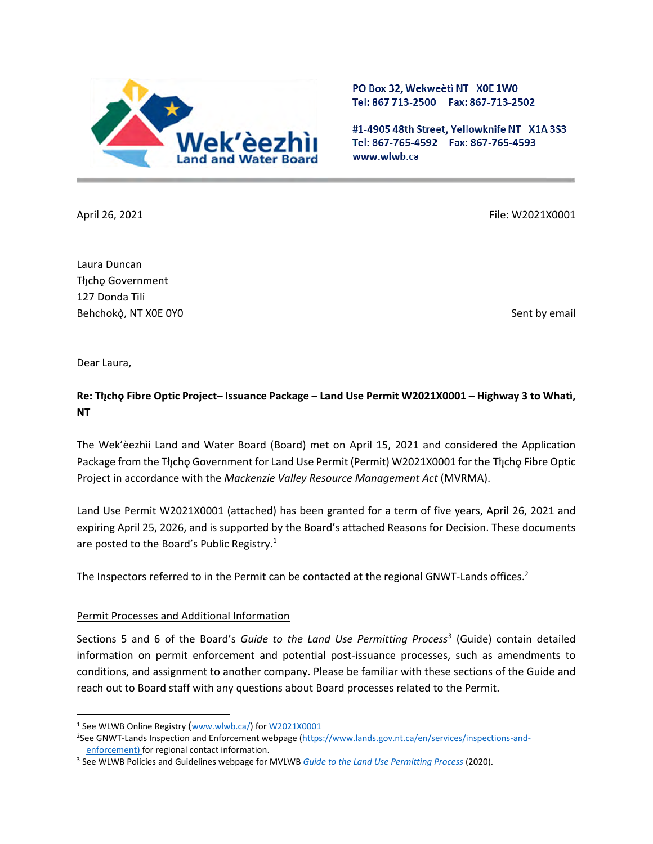

PO Box 32, Wekweeti NT X0E 1W0 Tel: 867 713-2500 Fax: 867-713-2502

#1-4905 48th Street, Yellowknife NT X1A 3S3 Tel: 867-765-4592 Fax: 867-765-4593 www.wlwb.ca

April 26, 2021 **File: W2021X0001** File: W2021X0001

Laura Duncan Tłıcho Government 127 Donda Tili Behchokò, NT X0E 0Y0 Sent by email

Dear Laura,

# **Re: Tłıchǫ ̨ Fibre Optic Project– Issuance Package – Land Use Permit W2021X0001 – Highway 3 to Whatì, NT**

The Wek'èezhìi Land and Water Board (Board) met on April 15, 2021 and considered the Application Package from the Tłycho Government for Land Use Permit (Permit) W2021X0001 for the Tłycho Fibre Optic Project in accordance with the *Mackenzie Valley Resource Management Act* (MVRMA).

Land Use Permit W2021X0001 (attached) has been granted for a term of five years, April 26, 2021 and expiring April 25, 2026, and is supported by the Board's attached Reasons for Decision. These documents are posted to the Board's Public Registry.<sup>1</sup>

The Inspectors referred to in the Permit can be contacted at the regional GNWT-Lands offices.<sup>2</sup>

#### Permit Processes and Additional Information

Sections 5 and 6 of the Board's *Guide to the Land Use Permitting Process*<sup>3</sup> (Guide) contain detailed information on permit enforcement and potential post-issuance processes, such as amendments to conditions, and assignment to another company. Please be familiar with these sections of the Guide and reach out to Board staff with any questions about Board processes related to the Permit.

<sup>&</sup>lt;sup>1</sup> See WLWB Online Registry ([www.wlwb.ca/\)](http://www.wlwb.ca/) fo[r W2021X0001](https://wlwb.ca/registry/W2021X0001)

<sup>&</sup>lt;sup>2</sup>See GNWT-Lands Inspection and Enforcement webpage [\(https://www.lands.gov.nt.ca/en/services/inspections-and](https://www.lands.gov.nt.ca/en/services/inspections-and-enforcement)[enforcement\)](https://www.lands.gov.nt.ca/en/services/inspections-and-enforcement) for regional contact information.

<sup>3</sup> See WLWB Policies and Guidelines webpage for MVLWB *[Guide to the Land Use Permitting Process](https://mvlwb.com/sites/default/files/2020-09/lwb_guide_to_the_land_use_permitting_process_-_final_-_sep_16_20.pdf)* (2020).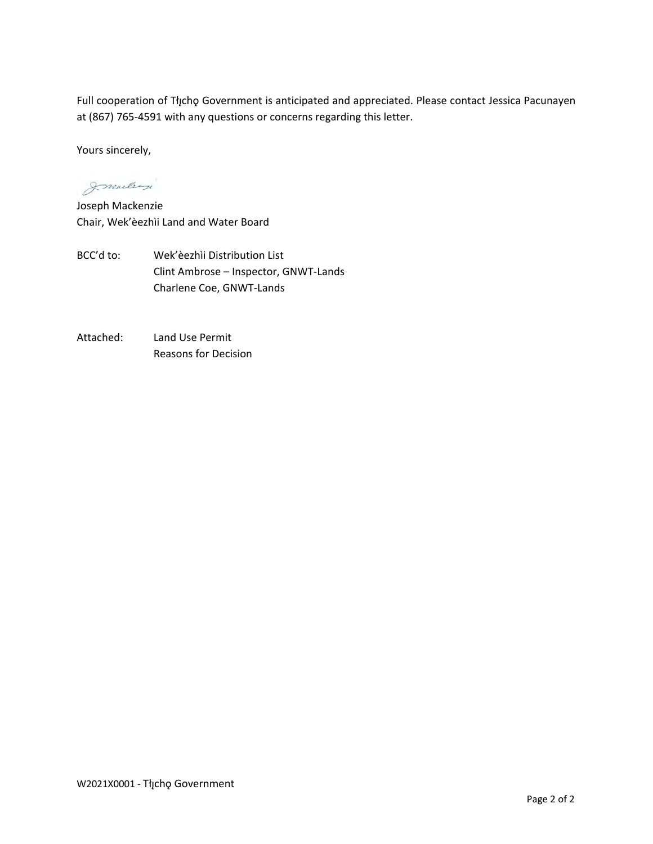Full cooperation of Tłįchǫ Government is anticipated and appreciated. Please contact Jessica Pacunayen at (867) 765-4591 with any questions or concerns regarding this letter.

Yours sincerely,

Immelergi

Joseph Mackenzie Chair, Wek'èezhìi Land and Water Board

- BCC'd to: Wek'èezhìi Distribution List Clint Ambrose – Inspector, GNWT-Lands Charlene Coe, GNWT-Lands
- Attached: Land Use Permit Reasons for Decision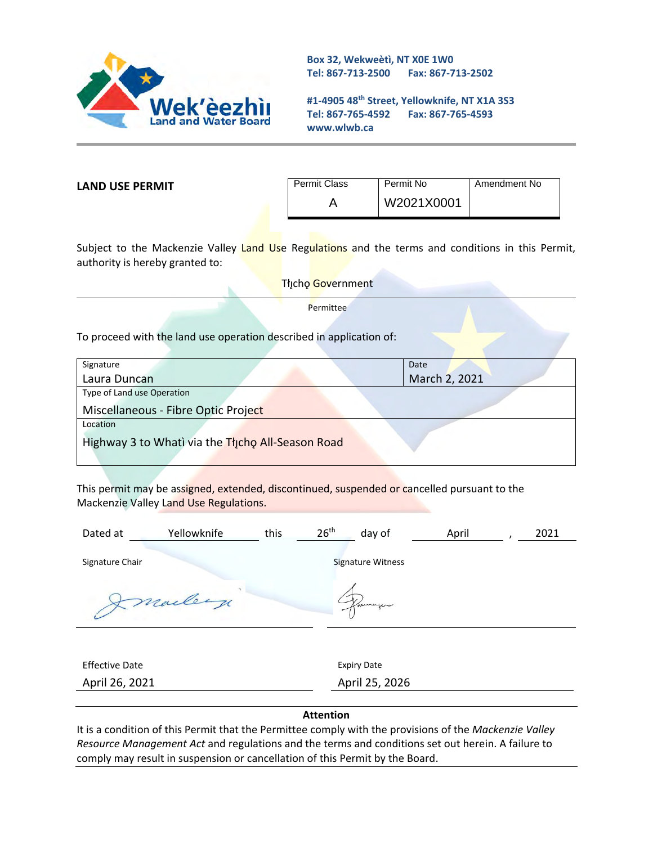

**Box 32, Wekweètì, NT X0E 1W0 Tel: 867-713-2500 Fax: 867-713-2502** 

**#1-4905 48th Street, Yellowknife, NT X1A 3S3 Tel: 867-765-4592 Fax: 867-765-4593 www.wlwb.ca**

**LAND USE PERMIT**

| Permit Class | Permit No  | Amendment No |
|--------------|------------|--------------|
|              | W2021X0001 |              |

Subject to the Mackenzie Valley Land Use Regulations and the terms and conditions in this Permit, authority is hereby granted to:

Tłįcho Government

**Permittee** 

To proceed with the land use operation described in application of:

| Signature                                         | Date          |  |
|---------------------------------------------------|---------------|--|
| Laura Duncan                                      | March 2, 2021 |  |
| Type of Land use Operation                        |               |  |
| Miscellaneous - Fibre Optic Project               |               |  |
| Location                                          |               |  |
| Highway 3 to Whati via the Thicho All-Season Road |               |  |
|                                                   |               |  |

This permit may be assigned, extended, discontinued, suspended or cancelled pursuant to the Mackenzie Valley Land Use Regulations.

| Yellowknife<br>Dated at | this | 26 <sup>th</sup><br>day of | April | 2021 |
|-------------------------|------|----------------------------|-------|------|
| Signature Chair         |      | <b>Signature Witness</b>   |       |      |
| marley                  |      |                            |       |      |
|                         |      |                            |       |      |
| <b>Effective Date</b>   |      | <b>Expiry Date</b>         |       |      |
| April 26, 2021          |      | April 25, 2026             |       |      |
|                         |      |                            |       |      |

#### **Attention**

It is a condition of this Permit that the Permittee comply with the provisions of the *Mackenzie Valley Resource Management Act* and regulations and the terms and conditions set out herein. A failure to comply may result in suspension or cancellation of this Permit by the Board.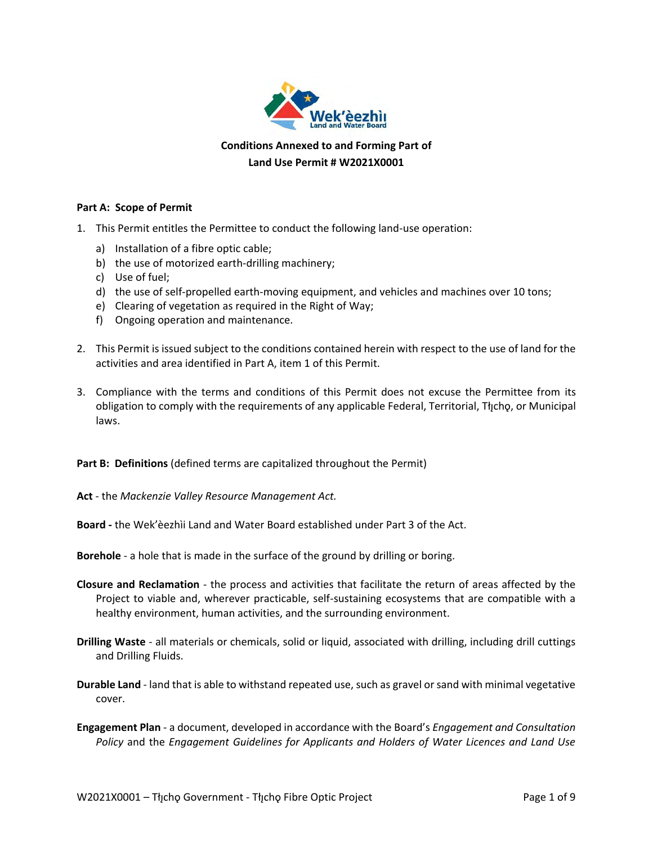

## **Conditions Annexed to and Forming Part of Land Use Permit # W2021X0001**

#### **Part A: Scope of Permit**

- 1. This Permit entitles the Permittee to conduct the following land-use operation:
	- a) Installation of a fibre optic cable;
	- b) the use of motorized earth-drilling machinery;
	- c) Use of fuel;
	- d) the use of self-propelled earth-moving equipment, and vehicles and machines over 10 tons;
	- e) Clearing of vegetation as required in the Right of Way;
	- f) Ongoing operation and maintenance.
- 2. This Permit is issued subject to the conditions contained herein with respect to the use of land for the activities and area identified in Part A, item 1 of this Permit.
- 3. Compliance with the terms and conditions of this Permit does not excuse the Permittee from its obligation to comply with the requirements of any applicable Federal, Territorial, Tłycho, or Municipal laws.

**Part B: Definitions** (defined terms are capitalized throughout the Permit)

**Act** - the *Mackenzie Valley Resource Management Act.*

**Board -** the Wek'èezhìi Land and Water Board established under Part 3 of the Act.

**Borehole** - a hole that is made in the surface of the ground by drilling or boring.

- **Closure and Reclamation** the process and activities that facilitate the return of areas affected by the Project to viable and, wherever practicable, self-sustaining ecosystems that are compatible with a healthy environment, human activities, and the surrounding environment.
- **Drilling Waste** all materials or chemicals, solid or liquid, associated with drilling, including drill cuttings and Drilling Fluids.
- **Durable Land** land that is able to withstand repeated use, such as gravel or sand with minimal vegetative cover.
- **Engagement Plan**  a document, developed in accordance with the Board's *Engagement and Consultation Policy* and the *Engagement Guidelines for Applicants and Holders of Water Licences and Land Use*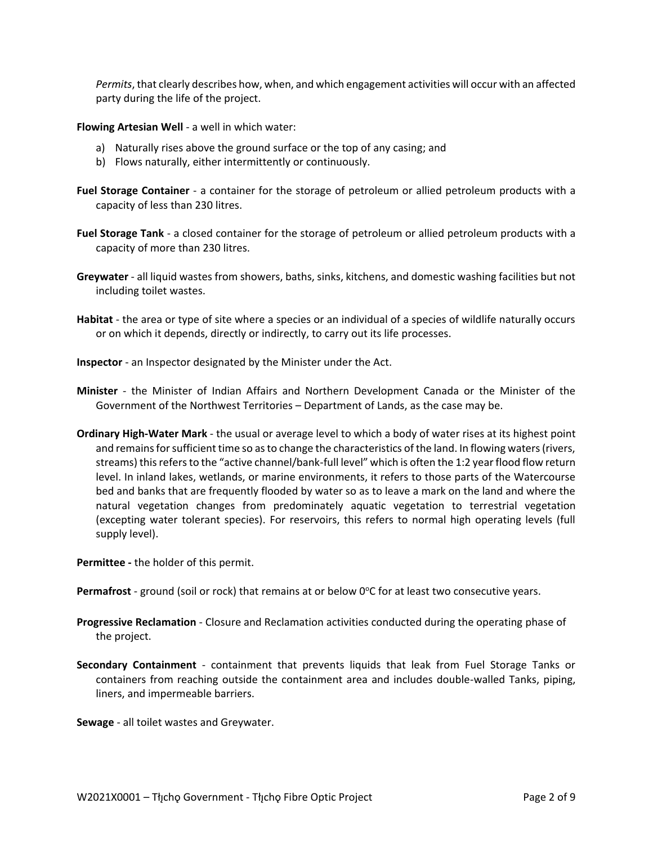*Permits*, that clearly describes how, when, and which engagement activities will occur with an affected party during the life of the project.

**Flowing Artesian Well** - a well in which water:

- a) Naturally rises above the ground surface or the top of any casing; and
- b) Flows naturally, either intermittently or continuously.
- **Fuel Storage Container** a container for the storage of petroleum or allied petroleum products with a capacity of less than 230 litres.
- **Fuel Storage Tank**  a closed container for the storage of petroleum or allied petroleum products with a capacity of more than 230 litres.
- **Greywater** all liquid wastes from showers, baths, sinks, kitchens, and domestic washing facilities but not including toilet wastes.
- **Habitat** the area or type of site where a species or an individual of a species of wildlife naturally occurs or on which it depends, directly or indirectly, to carry out its life processes.
- **Inspector**  an Inspector designated by the Minister under the Act.
- **Minister** the Minister of Indian Affairs and Northern Development Canada or the Minister of the Government of the Northwest Territories – Department of Lands, as the case may be.
- **Ordinary High-Water Mark**  the usual or average level to which a body of water rises at its highest point and remains for sufficient time so as to change the characteristics of the land. In flowing waters (rivers, streams) this refers to the "active channel/bank-full level" which is often the 1:2 year flood flow return level. In inland lakes, wetlands, or marine environments, it refers to those parts of the Watercourse bed and banks that are frequently flooded by water so as to leave a mark on the land and where the natural vegetation changes from predominately aquatic vegetation to terrestrial vegetation (excepting water tolerant species). For reservoirs, this refers to normal high operating levels (full supply level).

**Permittee -** the holder of this permit.

Permafrost - ground (soil or rock) that remains at or below 0°C for at least two consecutive years.

- **Progressive Reclamation**  Closure and Reclamation activities conducted during the operating phase of the project.
- **Secondary Containment** containment that prevents liquids that leak from Fuel Storage Tanks or containers from reaching outside the containment area and includes double-walled Tanks, piping, liners, and impermeable barriers.

**Sewage** - all toilet wastes and Greywater.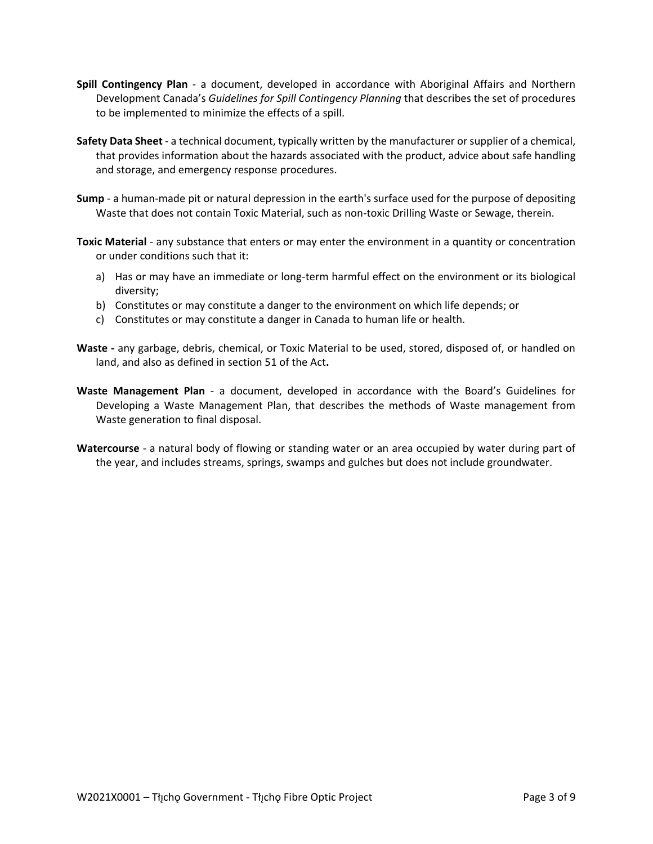- **Spill Contingency Plan** a document, developed in accordance with Aboriginal Affairs and Northern Development Canada's *Guidelines for Spill Contingency Planning* that describes the set of procedures to be implemented to minimize the effects of a spill.
- **Safety Data Sheet**  a technical document, typically written by the manufacturer or supplier of a chemical, that provides information about the hazards associated with the product, advice about safe handling and storage, and emergency response procedures.
- **Sump** a human-made pit or natural depression in the earth's surface used for the purpose of depositing Waste that does not contain Toxic Material, such as non-toxic Drilling Waste or Sewage, therein.
- **Toxic Material** any substance that enters or may enter the environment in a quantity or concentration or under conditions such that it:
	- a) Has or may have an immediate or long-term harmful effect on the environment or its biological diversity;
	- b) Constitutes or may constitute a danger to the environment on which life depends; or
	- c) Constitutes or may constitute a danger in Canada to human life or health.
- **Waste -** any garbage, debris, chemical, or Toxic Material to be used, stored, disposed of, or handled on land, and also as defined in section 51 of the Act**.**
- **Waste Management Plan** a document, developed in accordance with the Board's Guidelines for Developing a Waste Management Plan, that describes the methods of Waste management from Waste generation to final disposal.
- **Watercourse** a natural body of flowing or standing water or an area occupied by water during part of the year, and includes streams, springs, swamps and gulches but does not include groundwater.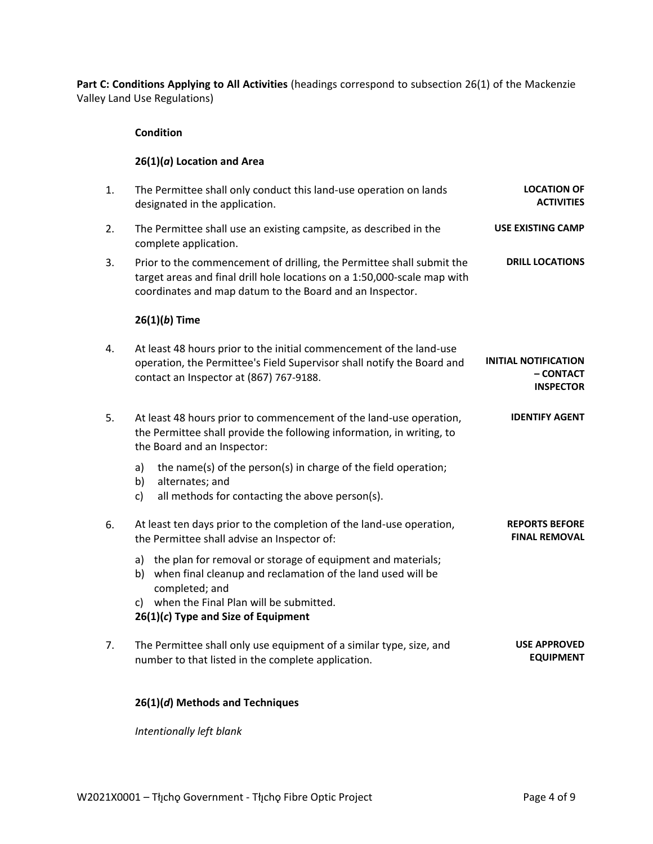Part C: Conditions Applying to All Activities (headings correspond to subsection 26(1) of the Mackenzie Valley Land Use Regulations)

#### **Condition**

#### **26(1)(***a***) Location and Area**

| 1. | The Permittee shall only conduct this land-use operation on lands                                                                                                                                             | <b>LOCATION OF</b>                                           |
|----|---------------------------------------------------------------------------------------------------------------------------------------------------------------------------------------------------------------|--------------------------------------------------------------|
|    | designated in the application.                                                                                                                                                                                | <b>ACTIVITIES</b>                                            |
| 2. | The Permittee shall use an existing campsite, as described in the<br>complete application.                                                                                                                    | <b>USE EXISTING CAMP</b>                                     |
| 3. | Prior to the commencement of drilling, the Permittee shall submit the<br>target areas and final drill hole locations on a 1:50,000-scale map with<br>coordinates and map datum to the Board and an Inspector. | <b>DRILL LOCATIONS</b>                                       |
|    | $26(1)(b)$ Time                                                                                                                                                                                               |                                                              |
| 4. | At least 48 hours prior to the initial commencement of the land-use<br>operation, the Permittee's Field Supervisor shall notify the Board and<br>contact an Inspector at (867) 767-9188.                      | <b>INITIAL NOTIFICATION</b><br>– CONTACT<br><b>INSPECTOR</b> |
| 5. | At least 48 hours prior to commencement of the land-use operation,<br>the Permittee shall provide the following information, in writing, to<br>the Board and an Inspector:                                    | <b>IDENTIFY AGENT</b>                                        |
|    | the name(s) of the person(s) in charge of the field operation;<br>a)<br>alternates; and<br>b)<br>all methods for contacting the above person(s).<br>c)                                                        |                                                              |
| 6. | At least ten days prior to the completion of the land-use operation,<br>the Permittee shall advise an Inspector of:                                                                                           | <b>REPORTS BEFORE</b><br><b>FINAL REMOVAL</b>                |
|    | a) the plan for removal or storage of equipment and materials;<br>when final cleanup and reclamation of the land used will be<br>b)<br>completed; and<br>c) when the Final Plan will be submitted.            |                                                              |
|    | $26(1)(c)$ Type and Size of Equipment                                                                                                                                                                         |                                                              |
| 7. | The Permittee shall only use equipment of a similar type, size, and<br>number to that listed in the complete application.                                                                                     | <b>USE APPROVED</b><br><b>EQUIPMENT</b>                      |

# **26(1)(***d***) Methods and Techniques**

*Intentionally left blank*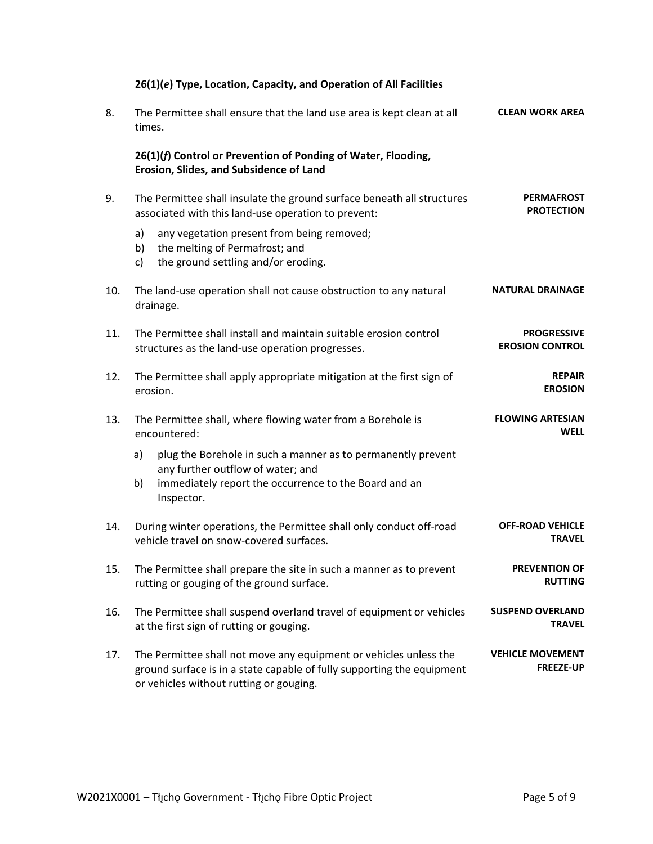|     | 26(1)(e) Type, Location, Capacity, and Operation of All Facilities                                                                                                                     |                                              |
|-----|----------------------------------------------------------------------------------------------------------------------------------------------------------------------------------------|----------------------------------------------|
| 8.  | The Permittee shall ensure that the land use area is kept clean at all<br>times.                                                                                                       | <b>CLEAN WORK AREA</b>                       |
|     | 26(1)(f) Control or Prevention of Ponding of Water, Flooding,<br>Erosion, Slides, and Subsidence of Land                                                                               |                                              |
| 9.  | The Permittee shall insulate the ground surface beneath all structures<br>associated with this land-use operation to prevent:                                                          | <b>PERMAFROST</b><br><b>PROTECTION</b>       |
|     | a)<br>any vegetation present from being removed;<br>the melting of Permafrost; and<br>b)<br>the ground settling and/or eroding.<br>c)                                                  |                                              |
| 10. | The land-use operation shall not cause obstruction to any natural<br>drainage.                                                                                                         | <b>NATURAL DRAINAGE</b>                      |
| 11. | The Permittee shall install and maintain suitable erosion control<br>structures as the land-use operation progresses.                                                                  | <b>PROGRESSIVE</b><br><b>EROSION CONTROL</b> |
| 12. | The Permittee shall apply appropriate mitigation at the first sign of<br>erosion.                                                                                                      | <b>REPAIR</b><br><b>EROSION</b>              |
| 13. | The Permittee shall, where flowing water from a Borehole is<br>encountered:                                                                                                            | <b>FLOWING ARTESIAN</b><br><b>WELL</b>       |
|     | plug the Borehole in such a manner as to permanently prevent<br>a)<br>any further outflow of water; and                                                                                |                                              |
|     | immediately report the occurrence to the Board and an<br>b)<br>Inspector.                                                                                                              |                                              |
| 14. | During winter operations, the Permittee shall only conduct off-road<br>vehicle travel on snow-covered surfaces.                                                                        | <b>OFF-ROAD VEHICLE</b><br><b>TRAVEL</b>     |
| 15. | The Permittee shall prepare the site in such a manner as to prevent<br>rutting or gouging of the ground surface.                                                                       | <b>PREVENTION OF</b><br><b>RUTTING</b>       |
| 16. | The Permittee shall suspend overland travel of equipment or vehicles<br>at the first sign of rutting or gouging.                                                                       | <b>SUSPEND OVERLAND</b><br><b>TRAVEL</b>     |
| 17. | The Permittee shall not move any equipment or vehicles unless the<br>ground surface is in a state capable of fully supporting the equipment<br>or vehicles without rutting or gouging. | <b>VEHICLE MOVEMENT</b><br><b>FREEZE-UP</b>  |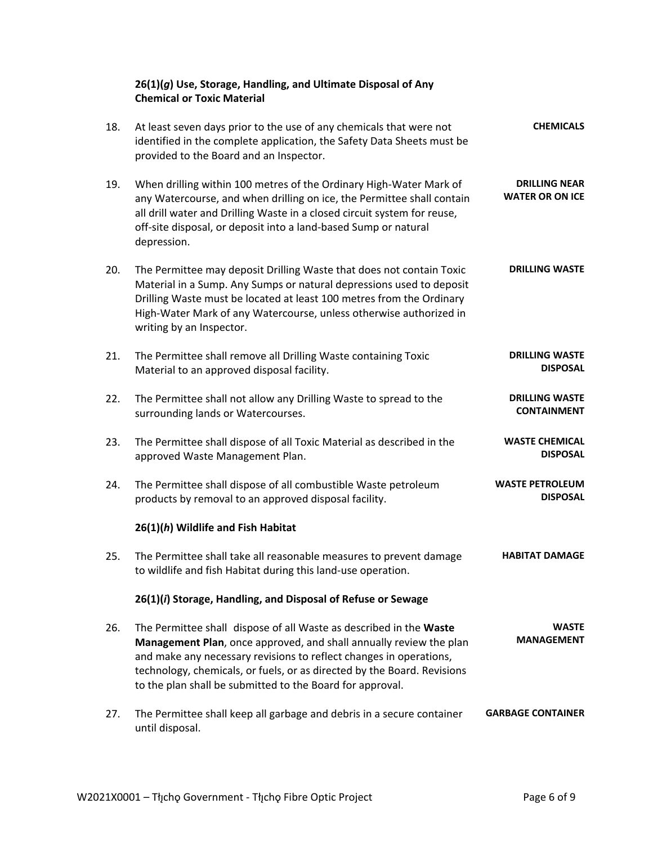|     | 26(1)(g) Use, Storage, Handling, and Ultimate Disposal of Any<br><b>Chemical or Toxic Material</b>                                                                                                                                                                                                                                                     |                                                |
|-----|--------------------------------------------------------------------------------------------------------------------------------------------------------------------------------------------------------------------------------------------------------------------------------------------------------------------------------------------------------|------------------------------------------------|
| 18. | At least seven days prior to the use of any chemicals that were not<br>identified in the complete application, the Safety Data Sheets must be<br>provided to the Board and an Inspector.                                                                                                                                                               | <b>CHEMICALS</b>                               |
| 19. | When drilling within 100 metres of the Ordinary High-Water Mark of<br>any Watercourse, and when drilling on ice, the Permittee shall contain<br>all drill water and Drilling Waste in a closed circuit system for reuse,<br>off-site disposal, or deposit into a land-based Sump or natural<br>depression.                                             | <b>DRILLING NEAR</b><br><b>WATER OR ON ICE</b> |
| 20. | The Permittee may deposit Drilling Waste that does not contain Toxic<br>Material in a Sump. Any Sumps or natural depressions used to deposit<br>Drilling Waste must be located at least 100 metres from the Ordinary<br>High-Water Mark of any Watercourse, unless otherwise authorized in<br>writing by an Inspector.                                 | <b>DRILLING WASTE</b>                          |
| 21. | The Permittee shall remove all Drilling Waste containing Toxic<br>Material to an approved disposal facility.                                                                                                                                                                                                                                           | <b>DRILLING WASTE</b><br><b>DISPOSAL</b>       |
| 22. | The Permittee shall not allow any Drilling Waste to spread to the<br>surrounding lands or Watercourses.                                                                                                                                                                                                                                                | <b>DRILLING WASTE</b><br><b>CONTAINMENT</b>    |
| 23. | The Permittee shall dispose of all Toxic Material as described in the<br>approved Waste Management Plan.                                                                                                                                                                                                                                               | <b>WASTE CHEMICAL</b><br><b>DISPOSAL</b>       |
| 24. | The Permittee shall dispose of all combustible Waste petroleum<br>products by removal to an approved disposal facility.                                                                                                                                                                                                                                | <b>WASTE PETROLEUM</b><br><b>DISPOSAL</b>      |
|     | 26(1)(h) Wildlife and Fish Habitat                                                                                                                                                                                                                                                                                                                     |                                                |
| 25. | The Permittee shall take all reasonable measures to prevent damage<br>to wildlife and fish Habitat during this land-use operation.                                                                                                                                                                                                                     | <b>HABITAT DAMAGE</b>                          |
|     | 26(1)(i) Storage, Handling, and Disposal of Refuse or Sewage                                                                                                                                                                                                                                                                                           |                                                |
| 26. | The Permittee shall dispose of all Waste as described in the Waste<br>Management Plan, once approved, and shall annually review the plan<br>and make any necessary revisions to reflect changes in operations,<br>technology, chemicals, or fuels, or as directed by the Board. Revisions<br>to the plan shall be submitted to the Board for approval. | <b>WASTE</b><br><b>MANAGEMENT</b>              |
| 27. | The Permittee shall keep all garbage and debris in a secure container<br>until disposal.                                                                                                                                                                                                                                                               | <b>GARBAGE CONTAINER</b>                       |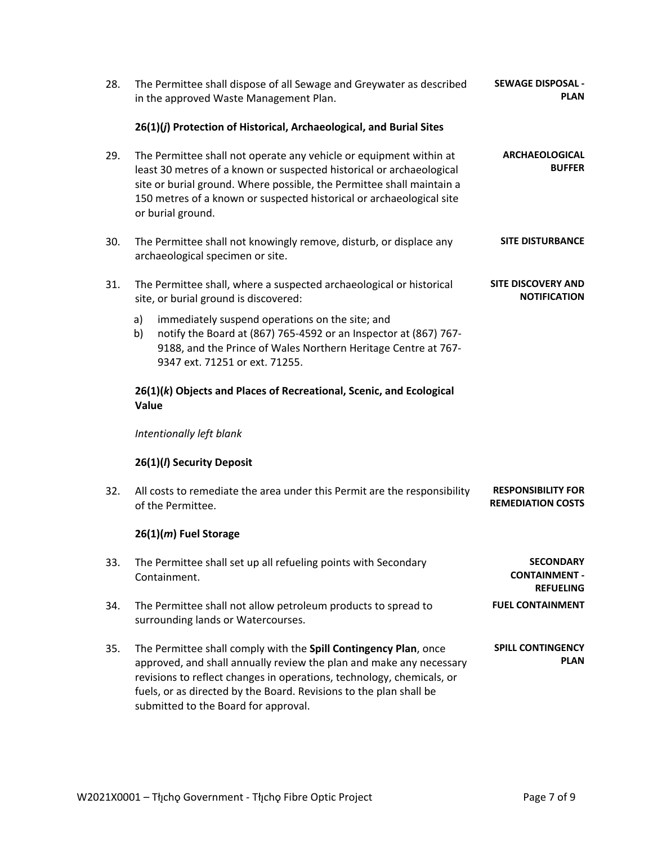| 28. | The Permittee shall dispose of all Sewage and Greywater as described<br>in the approved Waste Management Plan.                                                                                                                                                                                                                 | <b>SEWAGE DISPOSAL -</b><br><b>PLAN</b>                      |
|-----|--------------------------------------------------------------------------------------------------------------------------------------------------------------------------------------------------------------------------------------------------------------------------------------------------------------------------------|--------------------------------------------------------------|
|     | 26(1)(j) Protection of Historical, Archaeological, and Burial Sites                                                                                                                                                                                                                                                            |                                                              |
| 29. | The Permittee shall not operate any vehicle or equipment within at<br>least 30 metres of a known or suspected historical or archaeological<br>site or burial ground. Where possible, the Permittee shall maintain a<br>150 metres of a known or suspected historical or archaeological site<br>or burial ground.               | <b>ARCHAEOLOGICAL</b><br><b>BUFFER</b>                       |
| 30. | The Permittee shall not knowingly remove, disturb, or displace any<br>archaeological specimen or site.                                                                                                                                                                                                                         | <b>SITE DISTURBANCE</b>                                      |
| 31. | The Permittee shall, where a suspected archaeological or historical<br>site, or burial ground is discovered:                                                                                                                                                                                                                   | <b>SITE DISCOVERY AND</b><br><b>NOTIFICATION</b>             |
|     | a)<br>immediately suspend operations on the site; and<br>notify the Board at (867) 765-4592 or an Inspector at (867) 767-<br>b)<br>9188, and the Prince of Wales Northern Heritage Centre at 767-<br>9347 ext. 71251 or ext. 71255.                                                                                            |                                                              |
|     | 26(1)(k) Objects and Places of Recreational, Scenic, and Ecological<br>Value                                                                                                                                                                                                                                                   |                                                              |
|     | Intentionally left blank                                                                                                                                                                                                                                                                                                       |                                                              |
|     | 26(1)(/) Security Deposit                                                                                                                                                                                                                                                                                                      |                                                              |
| 32. | All costs to remediate the area under this Permit are the responsibility<br>of the Permittee.                                                                                                                                                                                                                                  | <b>RESPONSIBILITY FOR</b><br><b>REMEDIATION COSTS</b>        |
|     | 26(1)(m) Fuel Storage                                                                                                                                                                                                                                                                                                          |                                                              |
| 33. | The Permittee shall set up all refueling points with Secondary<br>Containment.                                                                                                                                                                                                                                                 | <b>SECONDARY</b><br><b>CONTAINMENT -</b><br><b>REFUELING</b> |
| 34. | The Permittee shall not allow petroleum products to spread to<br>surrounding lands or Watercourses.                                                                                                                                                                                                                            | <b>FUEL CONTAINMENT</b>                                      |
| 35. | The Permittee shall comply with the Spill Contingency Plan, once<br>approved, and shall annually review the plan and make any necessary<br>revisions to reflect changes in operations, technology, chemicals, or<br>fuels, or as directed by the Board. Revisions to the plan shall be<br>submitted to the Board for approval. | <b>SPILL CONTINGENCY</b><br><b>PLAN</b>                      |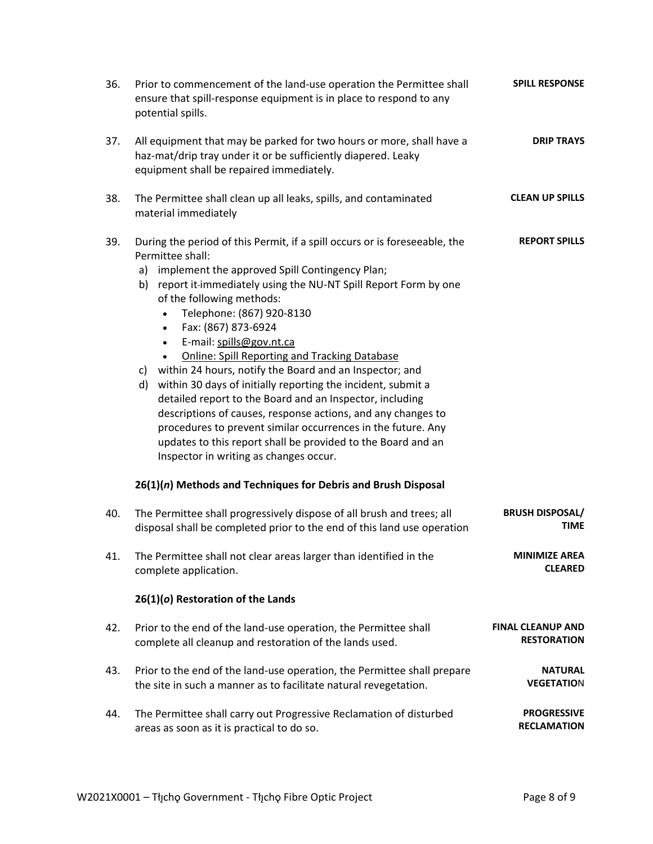| 36. | Prior to commencement of the land-use operation the Permittee shall<br>ensure that spill-response equipment is in place to respond to any<br>potential spills.                                                                                                                                                                                                                                                                                                                                                                                                                                                                                                                                                                                                                                                                                                                                                                        | <b>SPILL RESPONSE</b>                          |
|-----|---------------------------------------------------------------------------------------------------------------------------------------------------------------------------------------------------------------------------------------------------------------------------------------------------------------------------------------------------------------------------------------------------------------------------------------------------------------------------------------------------------------------------------------------------------------------------------------------------------------------------------------------------------------------------------------------------------------------------------------------------------------------------------------------------------------------------------------------------------------------------------------------------------------------------------------|------------------------------------------------|
| 37. | All equipment that may be parked for two hours or more, shall have a<br>haz-mat/drip tray under it or be sufficiently diapered. Leaky<br>equipment shall be repaired immediately.                                                                                                                                                                                                                                                                                                                                                                                                                                                                                                                                                                                                                                                                                                                                                     | <b>DRIP TRAYS</b>                              |
| 38. | The Permittee shall clean up all leaks, spills, and contaminated<br>material immediately                                                                                                                                                                                                                                                                                                                                                                                                                                                                                                                                                                                                                                                                                                                                                                                                                                              | <b>CLEAN UP SPILLS</b>                         |
| 39. | During the period of this Permit, if a spill occurs or is foreseeable, the<br>Permittee shall:<br>implement the approved Spill Contingency Plan;<br>a)<br>b) report it-immediately using the NU-NT Spill Report Form by one<br>of the following methods:<br>Telephone: (867) 920-8130<br>Fax: (867) 873-6924<br>$\bullet$<br>E-mail: spills@gov.nt.ca<br>$\bullet$<br><b>Online: Spill Reporting and Tracking Database</b><br>within 24 hours, notify the Board and an Inspector; and<br>c)<br>d) within 30 days of initially reporting the incident, submit a<br>detailed report to the Board and an Inspector, including<br>descriptions of causes, response actions, and any changes to<br>procedures to prevent similar occurrences in the future. Any<br>updates to this report shall be provided to the Board and an<br>Inspector in writing as changes occur.<br>26(1)(n) Methods and Techniques for Debris and Brush Disposal | <b>REPORT SPILLS</b>                           |
| 40. | The Permittee shall progressively dispose of all brush and trees; all<br>disposal shall be completed prior to the end of this land use operation                                                                                                                                                                                                                                                                                                                                                                                                                                                                                                                                                                                                                                                                                                                                                                                      | <b>BRUSH DISPOSAL/</b><br><b>TIME</b>          |
| 41. | The Permittee shall not clear areas larger than identified in the<br>complete application.                                                                                                                                                                                                                                                                                                                                                                                                                                                                                                                                                                                                                                                                                                                                                                                                                                            | <b>MINIMIZE AREA</b><br><b>CLEARED</b>         |
|     | 26(1)(o) Restoration of the Lands                                                                                                                                                                                                                                                                                                                                                                                                                                                                                                                                                                                                                                                                                                                                                                                                                                                                                                     |                                                |
| 42. | Prior to the end of the land-use operation, the Permittee shall<br>complete all cleanup and restoration of the lands used.                                                                                                                                                                                                                                                                                                                                                                                                                                                                                                                                                                                                                                                                                                                                                                                                            | <b>FINAL CLEANUP AND</b><br><b>RESTORATION</b> |
| 43. | Prior to the end of the land-use operation, the Permittee shall prepare<br>the site in such a manner as to facilitate natural revegetation.                                                                                                                                                                                                                                                                                                                                                                                                                                                                                                                                                                                                                                                                                                                                                                                           | <b>NATURAL</b><br><b>VEGETATION</b>            |
| 44. | The Permittee shall carry out Progressive Reclamation of disturbed<br>areas as soon as it is practical to do so.                                                                                                                                                                                                                                                                                                                                                                                                                                                                                                                                                                                                                                                                                                                                                                                                                      | <b>PROGRESSIVE</b><br><b>RECLAMATION</b>       |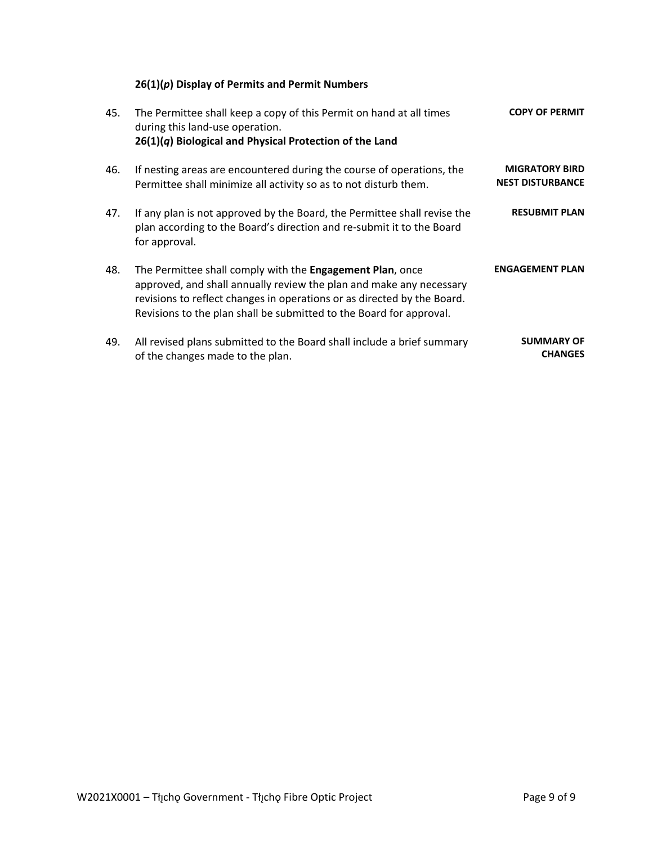# **26(1)(***p***) Display of Permits and Permit Numbers**

| 45. | The Permittee shall keep a copy of this Permit on hand at all times<br>during this land-use operation.<br>$26(1)(q)$ Biological and Physical Protection of the Land                                                                                                                | <b>COPY OF PERMIT</b>                            |
|-----|------------------------------------------------------------------------------------------------------------------------------------------------------------------------------------------------------------------------------------------------------------------------------------|--------------------------------------------------|
| 46. | If nesting areas are encountered during the course of operations, the<br>Permittee shall minimize all activity so as to not disturb them.                                                                                                                                          | <b>MIGRATORY BIRD</b><br><b>NEST DISTURBANCE</b> |
| 47. | If any plan is not approved by the Board, the Permittee shall revise the<br>plan according to the Board's direction and re-submit it to the Board<br>for approval.                                                                                                                 | <b>RESUBMIT PLAN</b>                             |
| 48. | The Permittee shall comply with the Engagement Plan, once<br>approved, and shall annually review the plan and make any necessary<br>revisions to reflect changes in operations or as directed by the Board.<br>Revisions to the plan shall be submitted to the Board for approval. | <b>ENGAGEMENT PLAN</b>                           |
| 49. | All revised plans submitted to the Board shall include a brief summary<br>of the changes made to the plan.                                                                                                                                                                         | <b>SUMMARY OF</b><br><b>CHANGES</b>              |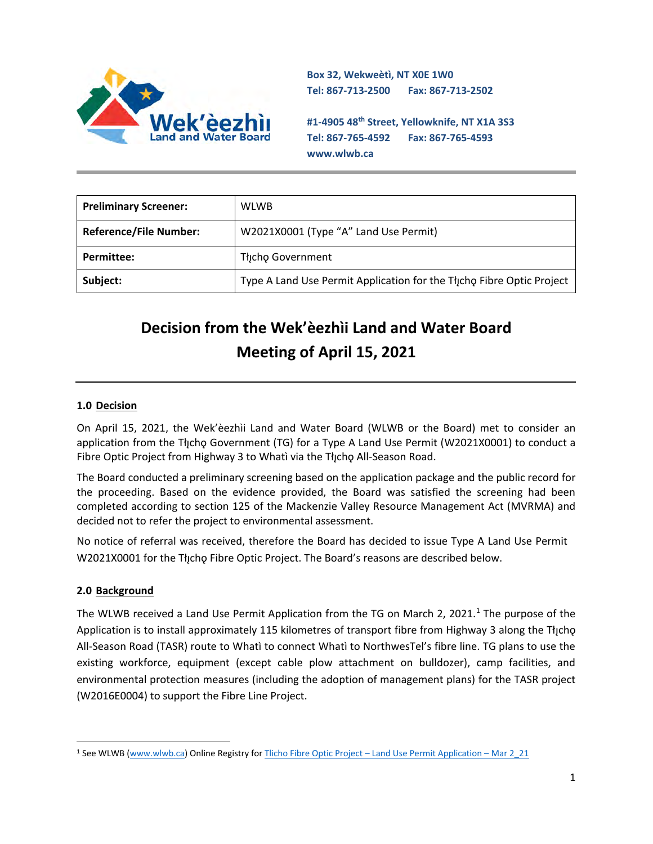

**Box 32, Wekweètì, NT X0E 1W0 Tel: 867-713-2500 Fax: 867-713-2502** 

**#1-4905 48th Street, Yellowknife, NT X1A 3S3 Tel: 867-765-4592 Fax: 867-765-4593 www.wlwb.ca**

| <b>Preliminary Screener:</b>  | <b>WLWB</b>                                                           |
|-------------------------------|-----------------------------------------------------------------------|
| <b>Reference/File Number:</b> | W2021X0001 (Type "A" Land Use Permit)                                 |
| Permittee:                    | Thcho Government                                                      |
| Subject:                      | Type A Land Use Permit Application for the Thicho Fibre Optic Project |

# **Decision from the Wek'èezhìi Land and Water Board Meeting of April 15, 2021**

#### **1.0 Decision**

On April 15, 2021, the Wek'èezhìi Land and Water Board (WLWB or the Board) met to consider an application from the Tłįchǫ Government (TG) for a Type A Land Use Permit (W2021X0001) to conduct a Fibre Optic Project from Highway 3 to Whatì via the Tłįcho All-Season Road.

The Board conducted a preliminary screening based on the application package and the public record for the proceeding. Based on the evidence provided, the Board was satisfied the screening had been completed according to section 125 of the Mackenzie Valley Resource Management Act (MVRMA) and decided not to refer the project to environmental assessment.

No notice of referral was received, therefore the Board has decided to issue Type A Land Use Permit W2021X0001 for the Tłıcho Fibre Optic Project. The Board's reasons are described below.

#### **2.0 Background**

The WLWB received a Land Use Permit Application from the TG on March 2, 2021.<sup>1</sup> The purpose of the Application is to install approximately 115 kilometres of transport fibre from Highway 3 along the Tłįcho All-Season Road (TASR) route to Whatì to connect Whatì to NorthwesTel's fibre line. TG plans to use the existing workforce, equipment (except cable plow attachment on bulldozer), camp facilities, and environmental protection measures (including the adoption of management plans) for the TASR project (W2016E0004) to support the Fibre Line Project.

<sup>1</sup> See WLWB [\(www.wlwb.ca\)](http://www.wlwb.ca/) Online Registry for Tlicho Fibre Optic Project – [Land Use Permit Application](http://registry.mvlwb.ca/Documents/W2021X0001/Tlicho%20Fibre%20Optic%20Project%20-%20Land%20Use%20Permit%20Application%20-%20Mar%202_21.pdf) – Mar 2\_21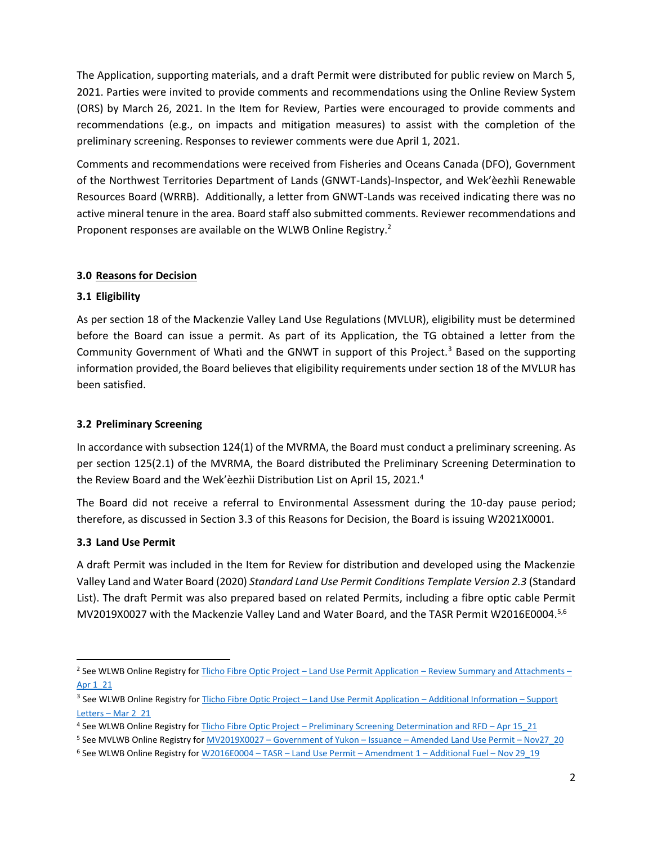The Application, supporting materials, and a draft Permit were distributed for public review on March 5, 2021. Parties were invited to provide comments and recommendations using the Online Review System (ORS) by March 26, 2021. In the Item for Review, Parties were encouraged to provide comments and recommendations (e.g., on impacts and mitigation measures) to assist with the completion of the preliminary screening. Responses to reviewer comments were due April 1, 2021.

Comments and recommendations were received from Fisheries and Oceans Canada (DFO), Government of the Northwest Territories Department of Lands (GNWT-Lands)-Inspector, and Wek'èezhìi Renewable Resources Board (WRRB). Additionally, a letter from GNWT-Lands was received indicating there was no active mineral tenure in the area. Board staff also submitted comments. Reviewer recommendations and Proponent responses are available on the WLWB Online Registry.<sup>2</sup>

#### **3.0 Reasons for Decision**

#### **3.1 Eligibility**

As per section 18 of the Mackenzie Valley Land Use Regulations (MVLUR), eligibility must be determined before the Board can issue a permit. As part of its Application, the TG obtained a letter from the Community Government of Whatì and the GNWT in support of this Project.<sup>3</sup> Based on the supporting information provided, the Board believes that eligibility requirements under section 18 of the MVLUR has been satisfied.

#### **3.2 Preliminary Screening**

In accordance with subsection 124(1) of the MVRMA, the Board must conduct a preliminary screening. As per section 125(2.1) of the MVRMA, the Board distributed the Preliminary Screening Determination to the Review Board and the Wek'èezhìi Distribution List on April 15, 2021.<sup>4</sup>

The Board did not receive a referral to Environmental Assessment during the 10-day pause period; therefore, as discussed in Section 3.3 of this Reasons for Decision, the Board is issuing W2021X0001.

#### **3.3 Land Use Permit**

A draft Permit was included in the Item for Review for distribution and developed using the Mackenzie Valley Land and Water Board (2020) *Standard Land Use Permit Conditions Template Version 2.3* (Standard List). The draft Permit was also prepared based on related Permits, including a fibre optic cable Permit MV2019X0027 with the Mackenzie Valley Land and Water Board, and the TASR Permit W2016E0004.<sup>5,6</sup>

<sup>&</sup>lt;sup>2</sup> See WLWB Online Registry for **Tlicho Fibre Optic Project** – Land Use Permit Application – [Review Summary and Attachments](http://registry.mvlwb.ca/Documents/W2021X0001/Tlicho%20Fibre%20Optic%20Project%20-%20Land%20Use%20Permit%20Application%20-%20Review%20Summary%20and%20Attachments%20-%20Apr%201_21.pdf) – [Apr 1\\_21](http://registry.mvlwb.ca/Documents/W2021X0001/Tlicho%20Fibre%20Optic%20Project%20-%20Land%20Use%20Permit%20Application%20-%20Review%20Summary%20and%20Attachments%20-%20Apr%201_21.pdf)

<sup>&</sup>lt;sup>3</sup> See WLWB Online Registry for **Tlicho Fibre Optic Project** – [Land Use Permit Application](http://registry.mvlwb.ca/Documents/W2021X0001/Tlicho%20Fibre%20Optic%20Project%20-%20Land%20Use%20Permit%20Application%20-%20Additional%20Information%20-%20Support%20Letters%20-%20Mar%202_21.pdf) – Additional Information – Support Letters – [Mar 2\\_21](http://registry.mvlwb.ca/Documents/W2021X0001/Tlicho%20Fibre%20Optic%20Project%20-%20Land%20Use%20Permit%20Application%20-%20Additional%20Information%20-%20Support%20Letters%20-%20Mar%202_21.pdf)

<sup>4</sup> See WLWB Online Registry for Tlicho Fibre Optic Project – [Preliminary Screening Determination and RFD](http://registry.mvlwb.ca/Documents/W2021X0001/Tlicho%20Fibre%20Optic%20Project%20-%20Preliminary%20Screening%20Determination%20and%20RFD%20-%20Apr%2015_21.pdf) – Apr 15\_21

<sup>5</sup> See MVLWB Online Registry for MV2019X0027 - Government of Yukon - Issuance - [Amended Land Use Permit](http://registry.mvlwb.ca/Documents/MV2019X0027/MV2019X0027%20-%20Government%20of%20Yukon%20-%20Issuance%20-%20Amended%20Land%20Use%20Permit%20-%20Nov27_20.pdf) - Nov27\_20

 $6$  See WLWB Online Registry for W2016E0004 – TASR – [Land Use Permit](http://registry.mvlwb.ca/Documents/W2016E0004/W2016E0004%20-%20TASR%20-%20Land%20Use%20Permit%20-%20Amendment%201%20-%20Additional%20Fuel%20-%20Nov%2029_19.pdf) – Amendment 1 – Additional Fuel – Nov 29\_19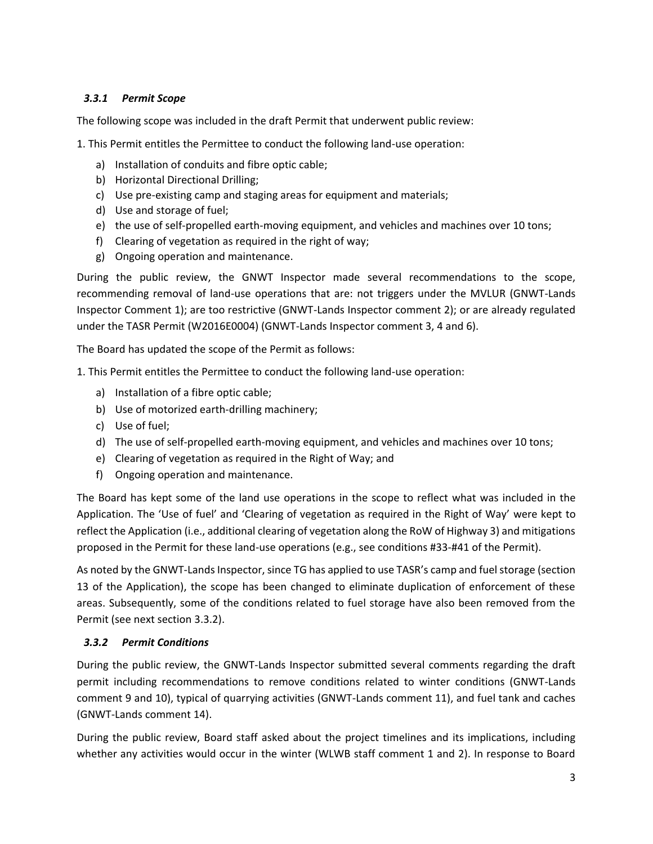#### *3.3.1 Permit Scope*

The following scope was included in the draft Permit that underwent public review:

1. This Permit entitles the Permittee to conduct the following land-use operation:

- a) Installation of conduits and fibre optic cable;
- b) Horizontal Directional Drilling;
- c) Use pre-existing camp and staging areas for equipment and materials;
- d) Use and storage of fuel;
- e) the use of self-propelled earth-moving equipment, and vehicles and machines over 10 tons;
- f) Clearing of vegetation as required in the right of way;
- g) Ongoing operation and maintenance.

During the public review, the GNWT Inspector made several recommendations to the scope, recommending removal of land-use operations that are: not triggers under the MVLUR (GNWT-Lands Inspector Comment 1); are too restrictive (GNWT-Lands Inspector comment 2); or are already regulated under the TASR Permit (W2016E0004) (GNWT-Lands Inspector comment 3, 4 and 6).

The Board has updated the scope of the Permit as follows:

1. This Permit entitles the Permittee to conduct the following land-use operation:

- a) Installation of a fibre optic cable;
- b) Use of motorized earth-drilling machinery;
- c) Use of fuel;
- d) The use of self-propelled earth-moving equipment, and vehicles and machines over 10 tons;
- e) Clearing of vegetation as required in the Right of Way; and
- f) Ongoing operation and maintenance.

The Board has kept some of the land use operations in the scope to reflect what was included in the Application. The 'Use of fuel' and 'Clearing of vegetation as required in the Right of Way' were kept to reflect the Application (i.e., additional clearing of vegetation along the RoW of Highway 3) and mitigations proposed in the Permit for these land-use operations (e.g., see conditions #33-#41 of the Permit).

As noted by the GNWT-Lands Inspector, since TG has applied to use TASR's camp and fuel storage (section 13 of the Application), the scope has been changed to eliminate duplication of enforcement of these areas. Subsequently, some of the conditions related to fuel storage have also been removed from the Permit (see next section 3.3.2).

#### *3.3.2 Permit Conditions*

During the public review, the GNWT-Lands Inspector submitted several comments regarding the draft permit including recommendations to remove conditions related to winter conditions (GNWT-Lands comment 9 and 10), typical of quarrying activities (GNWT-Lands comment 11), and fuel tank and caches (GNWT-Lands comment 14).

During the public review, Board staff asked about the project timelines and its implications, including whether any activities would occur in the winter (WLWB staff comment 1 and 2). In response to Board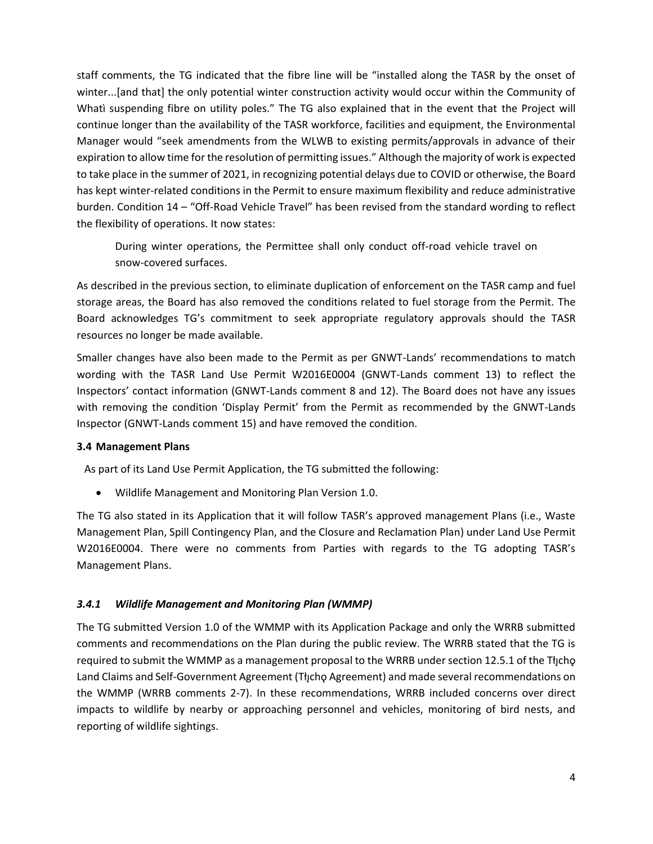staff comments, the TG indicated that the fibre line will be "installed along the TASR by the onset of winter...[and that] the only potential winter construction activity would occur within the Community of Whatì suspending fibre on utility poles." The TG also explained that in the event that the Project will continue longer than the availability of the TASR workforce, facilities and equipment, the Environmental Manager would "seek amendments from the WLWB to existing permits/approvals in advance of their expiration to allow time for the resolution of permitting issues." Although the majority of work is expected to take place in the summer of 2021, in recognizing potential delays due to COVID or otherwise, the Board has kept winter-related conditions in the Permit to ensure maximum flexibility and reduce administrative burden. Condition 14 – "Off-Road Vehicle Travel" has been revised from the standard wording to reflect the flexibility of operations. It now states:

During winter operations, the Permittee shall only conduct off-road vehicle travel on snow-covered surfaces.

As described in the previous section, to eliminate duplication of enforcement on the TASR camp and fuel storage areas, the Board has also removed the conditions related to fuel storage from the Permit. The Board acknowledges TG's commitment to seek appropriate regulatory approvals should the TASR resources no longer be made available.

Smaller changes have also been made to the Permit as per GNWT-Lands' recommendations to match wording with the TASR Land Use Permit W2016E0004 (GNWT-Lands comment 13) to reflect the Inspectors' contact information (GNWT-Lands comment 8 and 12). The Board does not have any issues with removing the condition 'Display Permit' from the Permit as recommended by the GNWT-Lands Inspector (GNWT-Lands comment 15) and have removed the condition.

#### **3.4 Management Plans**

As part of its Land Use Permit Application, the TG submitted the following:

• Wildlife Management and Monitoring Plan Version 1.0.

The TG also stated in its Application that it will follow TASR's approved management Plans (i.e., Waste Management Plan, Spill Contingency Plan, and the Closure and Reclamation Plan) under Land Use Permit W2016E0004. There were no comments from Parties with regards to the TG adopting TASR's Management Plans.

#### *3.4.1 Wildlife Management and Monitoring Plan (WMMP)*

The TG submitted Version 1.0 of the WMMP with its Application Package and only the WRRB submitted comments and recommendations on the Plan during the public review. The WRRB stated that the TG is required to submit the WMMP as a management proposal to the WRRB under section 12.5.1 of the Theop Land Claims and Self-Government Agreement (Tłycho Agreement) and made several recommendations on the WMMP (WRRB comments 2-7). In these recommendations, WRRB included concerns over direct impacts to wildlife by nearby or approaching personnel and vehicles, monitoring of bird nests, and reporting of wildlife sightings.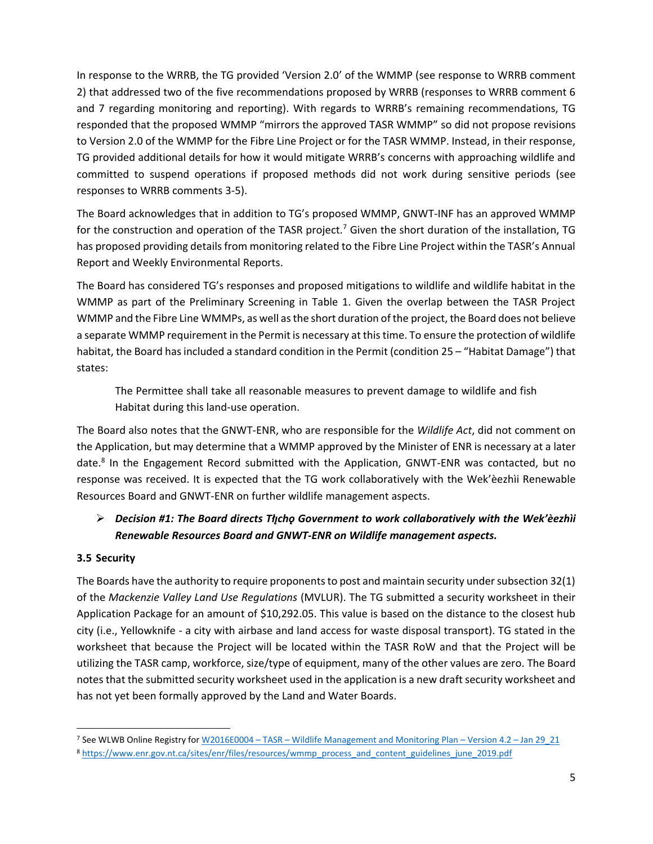In response to the WRRB, the TG provided 'Version 2.0' of the WMMP (see response to WRRB comment 2) that addressed two of the five recommendations proposed by WRRB (responses to WRRB comment 6 and 7 regarding monitoring and reporting). With regards to WRRB's remaining recommendations, TG responded that the proposed WMMP "mirrors the approved TASR WMMP" so did not propose revisions to Version 2.0 of the WMMP for the Fibre Line Project or for the TASR WMMP. Instead, in their response, TG provided additional details for how it would mitigate WRRB's concerns with approaching wildlife and committed to suspend operations if proposed methods did not work during sensitive periods (see responses to WRRB comments 3-5).

The Board acknowledges that in addition to TG's proposed WMMP, GNWT-INF has an approved WMMP for the construction and operation of the TASR project.<sup>7</sup> Given the short duration of the installation, TG has proposed providing details from monitoring related to the Fibre Line Project within the TASR's Annual Report and Weekly Environmental Reports.

The Board has considered TG's responses and proposed mitigations to wildlife and wildlife habitat in the WMMP as part of the Preliminary Screening in Table 1. Given the overlap between the TASR Project WMMP and the Fibre Line WMMPs, as well as the short duration of the project, the Board does not believe a separate WMMP requirement in the Permit is necessary at this time. To ensure the protection of wildlife habitat, the Board has included a standard condition in the Permit (condition 25 – "Habitat Damage") that states:

The Permittee shall take all reasonable measures to prevent damage to wildlife and fish Habitat during this land-use operation.

The Board also notes that the GNWT-ENR, who are responsible for the *Wildlife Act*, did not comment on the Application, but may determine that a WMMP approved by the Minister of ENR is necessary at a later date.<sup>8</sup> In the Engagement Record submitted with the Application, GNWT-ENR was contacted, but no response was received. It is expected that the TG work collaboratively with the Wek'èezhìi Renewable Resources Board and GNWT-ENR on further wildlife management aspects.

# ➢ *Decision #1: The Board directs Tłıchǫ ̨ Government to work collaboratively with the Wek'èezhìi Renewable Resources Board and GNWT-ENR on Wildlife management aspects.*

#### **3.5 Security**

The Boards have the authority to require proponents to post and maintain security under subsection 32(1) of the *Mackenzie Valley Land Use Regulations* (MVLUR). The TG submitted a security worksheet in their Application Package for an amount of \$10,292.05. This value is based on the distance to the closest hub city (i.e., Yellowknife - a city with airbase and land access for waste disposal transport). TG stated in the worksheet that because the Project will be located within the TASR RoW and that the Project will be utilizing the TASR camp, workforce, size/type of equipment, many of the other values are zero. The Board notes that the submitted security worksheet used in the application is a new draft security worksheet and has not yet been formally approved by the Land and Water Boards.

<sup>7</sup> See WLWB Online Registry for W2016E0004 – TASR – [Wildlife Management and Monitoring Plan](http://registry.mvlwb.ca/Documents/W2016E0004/W2016E0004%20-%20TASR%20-%20Wildlife%20Management%20and%20Monitoring%20Plan%20-%20Version%204.2%20-%20Jan%2029_21.pdf) – Version 4.2 – Jan 29\_21

<sup>8</sup> [https://www.enr.gov.nt.ca/sites/enr/files/resources/wmmp\\_process\\_and\\_content\\_guidelines\\_june\\_2019.pdf](https://www.enr.gov.nt.ca/sites/enr/files/resources/wmmp_process_and_content_guidelines_june_2019.pdf)